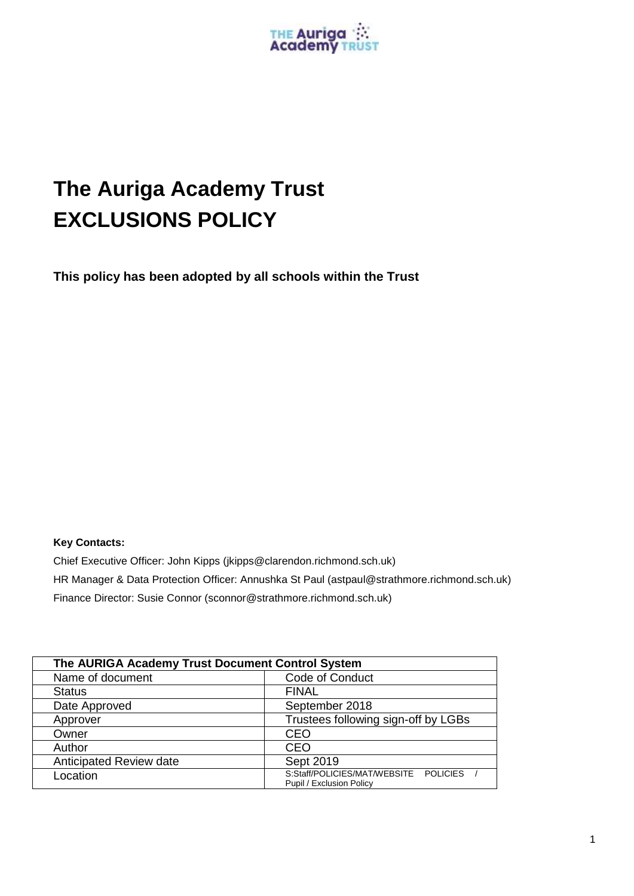

# **The Auriga Academy Trust EXCLUSIONS POLICY**

**This policy has been adopted by all schools within the Trust**

### **Key Contacts:**

Chief Executive Officer: John Kipps (jkipps@clarendon.richmond.sch.uk) HR Manager & Data Protection Officer: Annushka St Paul (astpaul@strathmore.richmond.sch.uk) Finance Director: Susie Connor (sconnor@strathmore.richmond.sch.uk)

| The AURIGA Academy Trust Document Control System |                                                                   |
|--------------------------------------------------|-------------------------------------------------------------------|
| Name of document                                 | Code of Conduct                                                   |
| <b>Status</b>                                    | <b>FINAL</b>                                                      |
| Date Approved                                    | September 2018                                                    |
| Approver                                         | Trustees following sign-off by LGBs                               |
| Owner                                            | <b>CEO</b>                                                        |
| Author                                           | CEO                                                               |
| Anticipated Review date                          | Sept 2019                                                         |
| Location                                         | S:Staff/POLICIES/MAT/WEBSITE POLICIES<br>Pupil / Exclusion Policy |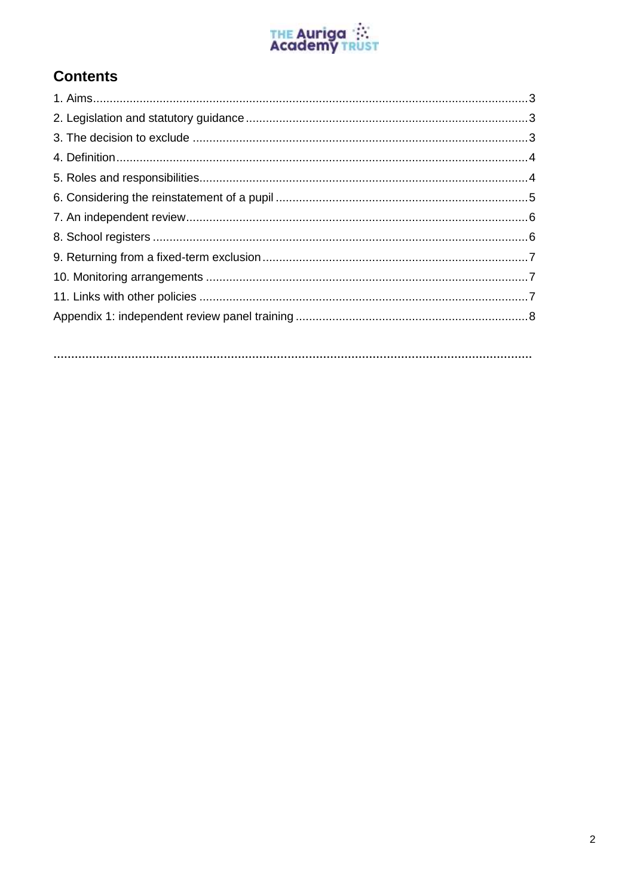

# **Contents**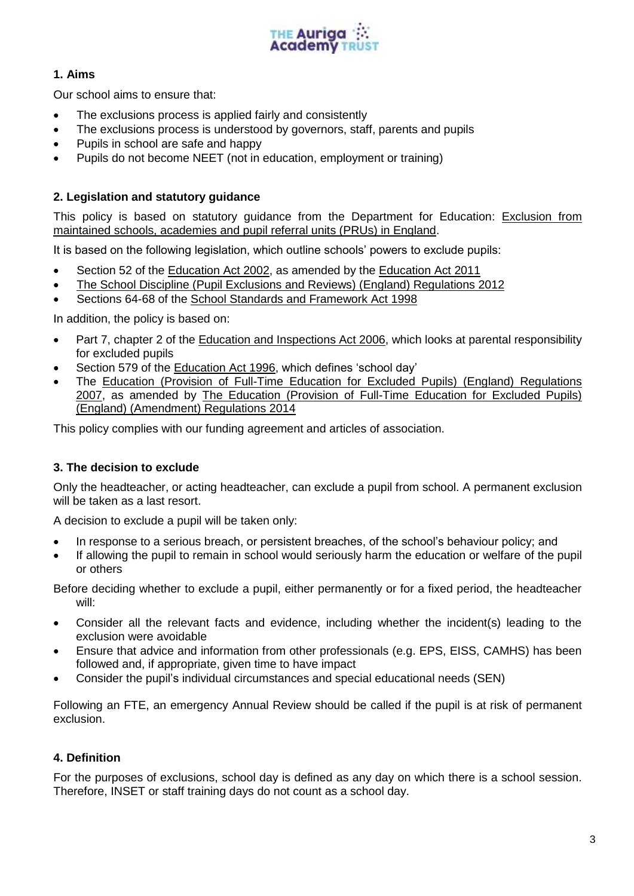

# **1. Aims**

Our school aims to ensure that:

- The exclusions process is applied fairly and consistently
- The exclusions process is understood by governors, staff, parents and pupils
- Pupils in school are safe and happy
- Pupils do not become NEET (not in education, employment or training)

# **2. Legislation and statutory guidance**

This policy is based on statutory guidance from the Department for Education: [Exclusion from](https://www.gov.uk/government/publications/school-exclusion)  [maintained schools, academies and pupil referral units \(PRUs\) in England.](https://www.gov.uk/government/publications/school-exclusion)

It is based on the following legislation, which outline schools' powers to exclude pupils:

- Section 52 of the [Education Act 2002,](http://www.legislation.gov.uk/ukpga/2002/32/section/52) as amended by the [Education Act 2011](http://www.legislation.gov.uk/ukpga/2011/21/contents/enacted)
- [The School Discipline \(Pupil Exclusions and Reviews\) \(England\) Regulations 2012](http://www.legislation.gov.uk/uksi/2012/1033/made)
- Sections 64-68 of the [School Standards and Framework Act 1998](http://www.legislation.gov.uk/ukpga/1998/31)

In addition, the policy is based on:

- Part 7, chapter 2 of the [Education and Inspections Act 2006,](http://www.legislation.gov.uk/ukpga/2006/40/part/7/chapter/2) which looks at parental responsibility for excluded pupils
- Section 579 of the [Education Act 1996,](http://www.legislation.gov.uk/ukpga/1996/56/section/579) which defines 'school day'
- The [Education \(Provision of Full-Time Education for Excluded Pupils\) \(England\) Regulations](http://www.legislation.gov.uk/uksi/2007/1870/contents/made)  [2007,](http://www.legislation.gov.uk/uksi/2007/1870/contents/made) as amended by [The Education \(Provision of Full-Time Education for Excluded Pupils\)](http://www.legislation.gov.uk/uksi/2014/3216/contents/made)  [\(England\) \(Amendment\) Regulations 2014](http://www.legislation.gov.uk/uksi/2014/3216/contents/made)

This policy complies with our funding agreement and articles of association.

# **3. The decision to exclude**

Only the headteacher, or acting headteacher, can exclude a pupil from school. A permanent exclusion will be taken as a last resort.

A decision to exclude a pupil will be taken only:

- In response to a serious breach, or persistent breaches, of the school's behaviour policy; and
- If allowing the pupil to remain in school would seriously harm the education or welfare of the pupil or others

Before deciding whether to exclude a pupil, either permanently or for a fixed period, the headteacher will:

- Consider all the relevant facts and evidence, including whether the incident(s) leading to the exclusion were avoidable
- Ensure that advice and information from other professionals (e.g. EPS, EISS, CAMHS) has been followed and, if appropriate, given time to have impact
- Consider the pupil's individual circumstances and special educational needs (SEN)

Following an FTE, an emergency Annual Review should be called if the pupil is at risk of permanent exclusion.

# **4. Definition**

For the purposes of exclusions, school day is defined as any day on which there is a school session. Therefore, INSET or staff training days do not count as a school day.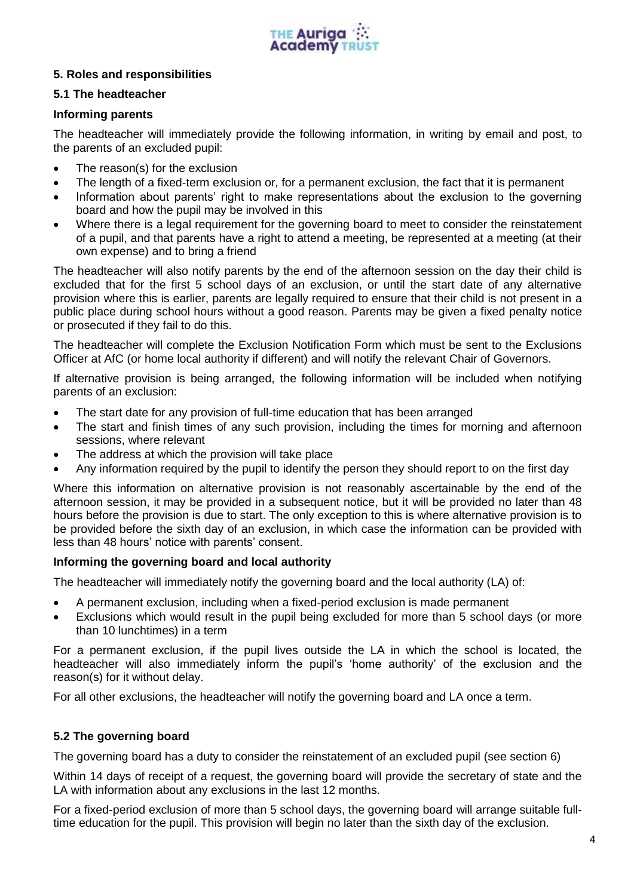

# **5. Roles and responsibilities**

# **5.1 The headteacher**

# **Informing parents**

The headteacher will immediately provide the following information, in writing by email and post, to the parents of an excluded pupil:

- The reason(s) for the exclusion
- The length of a fixed-term exclusion or, for a permanent exclusion, the fact that it is permanent
- Information about parents' right to make representations about the exclusion to the governing board and how the pupil may be involved in this
- Where there is a legal requirement for the governing board to meet to consider the reinstatement of a pupil, and that parents have a right to attend a meeting, be represented at a meeting (at their own expense) and to bring a friend

The headteacher will also notify parents by the end of the afternoon session on the day their child is excluded that for the first 5 school days of an exclusion, or until the start date of any alternative provision where this is earlier, parents are legally required to ensure that their child is not present in a public place during school hours without a good reason. Parents may be given a fixed penalty notice or prosecuted if they fail to do this.

The headteacher will complete the Exclusion Notification Form which must be sent to the Exclusions Officer at AfC (or home local authority if different) and will notify the relevant Chair of Governors.

If alternative provision is being arranged, the following information will be included when notifying parents of an exclusion:

- The start date for any provision of full-time education that has been arranged
- The start and finish times of any such provision, including the times for morning and afternoon sessions, where relevant
- The address at which the provision will take place
- Any information required by the pupil to identify the person they should report to on the first day

Where this information on alternative provision is not reasonably ascertainable by the end of the afternoon session, it may be provided in a subsequent notice, but it will be provided no later than 48 hours before the provision is due to start. The only exception to this is where alternative provision is to be provided before the sixth day of an exclusion, in which case the information can be provided with less than 48 hours' notice with parents' consent.

# **Informing the governing board and local authority**

The headteacher will immediately notify the governing board and the local authority (LA) of:

- A permanent exclusion, including when a fixed-period exclusion is made permanent
- Exclusions which would result in the pupil being excluded for more than 5 school days (or more than 10 lunchtimes) in a term

For a permanent exclusion, if the pupil lives outside the LA in which the school is located, the headteacher will also immediately inform the pupil's 'home authority' of the exclusion and the reason(s) for it without delay.

For all other exclusions, the headteacher will notify the governing board and LA once a term.

# **5.2 The governing board**

The governing board has a duty to consider the reinstatement of an excluded pupil (see section 6)

Within 14 days of receipt of a request, the governing board will provide the secretary of state and the LA with information about any exclusions in the last 12 months.

For a fixed-period exclusion of more than 5 school days, the governing board will arrange suitable fulltime education for the pupil. This provision will begin no later than the sixth day of the exclusion.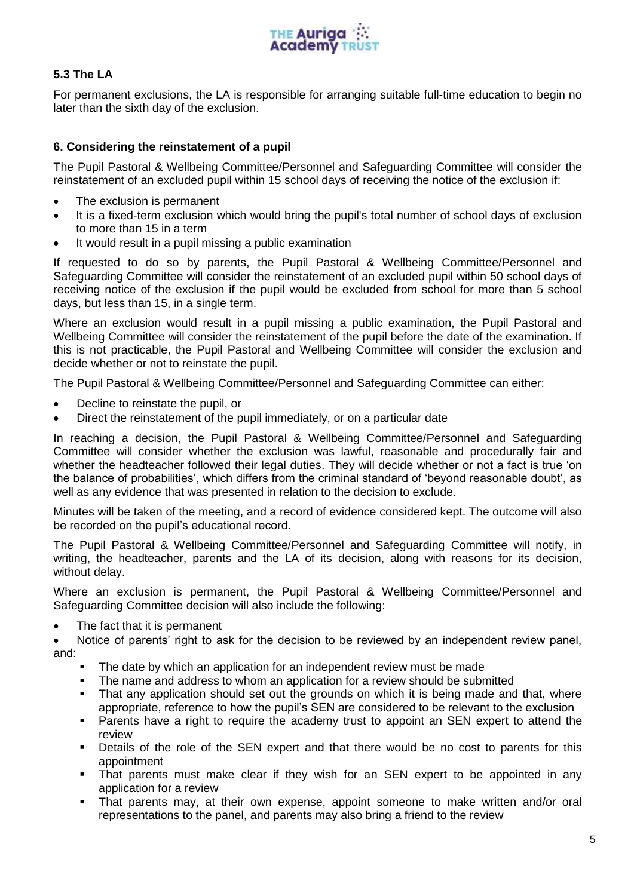

# **5.3 The LA**

For permanent exclusions, the LA is responsible for arranging suitable full-time education to begin no later than the sixth day of the exclusion.

# **6. Considering the reinstatement of a pupil**

The Pupil Pastoral & Wellbeing Committee/Personnel and Safeguarding Committee will consider the reinstatement of an excluded pupil within 15 school days of receiving the notice of the exclusion if:

- The exclusion is permanent
- It is a fixed-term exclusion which would bring the pupil's total number of school days of exclusion to more than 15 in a term
- It would result in a pupil missing a public examination

If requested to do so by parents, the Pupil Pastoral & Wellbeing Committee/Personnel and Safeguarding Committee will consider the reinstatement of an excluded pupil within 50 school days of receiving notice of the exclusion if the pupil would be excluded from school for more than 5 school days, but less than 15, in a single term.

Where an exclusion would result in a pupil missing a public examination, the Pupil Pastoral and Wellbeing Committee will consider the reinstatement of the pupil before the date of the examination. If this is not practicable, the Pupil Pastoral and Wellbeing Committee will consider the exclusion and decide whether or not to reinstate the pupil.

The Pupil Pastoral & Wellbeing Committee/Personnel and Safeguarding Committee can either:

- Decline to reinstate the pupil, or
- Direct the reinstatement of the pupil immediately, or on a particular date

In reaching a decision, the Pupil Pastoral & Wellbeing Committee/Personnel and Safeguarding Committee will consider whether the exclusion was lawful, reasonable and procedurally fair and whether the headteacher followed their legal duties. They will decide whether or not a fact is true 'on the balance of probabilities', which differs from the criminal standard of 'beyond reasonable doubt', as well as any evidence that was presented in relation to the decision to exclude.

Minutes will be taken of the meeting, and a record of evidence considered kept. The outcome will also be recorded on the pupil's educational record.

The Pupil Pastoral & Wellbeing Committee/Personnel and Safeguarding Committee will notify, in writing, the headteacher, parents and the LA of its decision, along with reasons for its decision, without delay.

Where an exclusion is permanent, the Pupil Pastoral & Wellbeing Committee/Personnel and Safeguarding Committee decision will also include the following:

The fact that it is permanent

 Notice of parents' right to ask for the decision to be reviewed by an independent review panel, and:

- The date by which an application for an independent review must be made
- The name and address to whom an application for a review should be submitted
- That any application should set out the grounds on which it is being made and that, where appropriate, reference to how the pupil's SEN are considered to be relevant to the exclusion
- Parents have a right to require the academy trust to appoint an SEN expert to attend the review
- Details of the role of the SEN expert and that there would be no cost to parents for this appointment
- That parents must make clear if they wish for an SEN expert to be appointed in any application for a review
- That parents may, at their own expense, appoint someone to make written and/or oral representations to the panel, and parents may also bring a friend to the review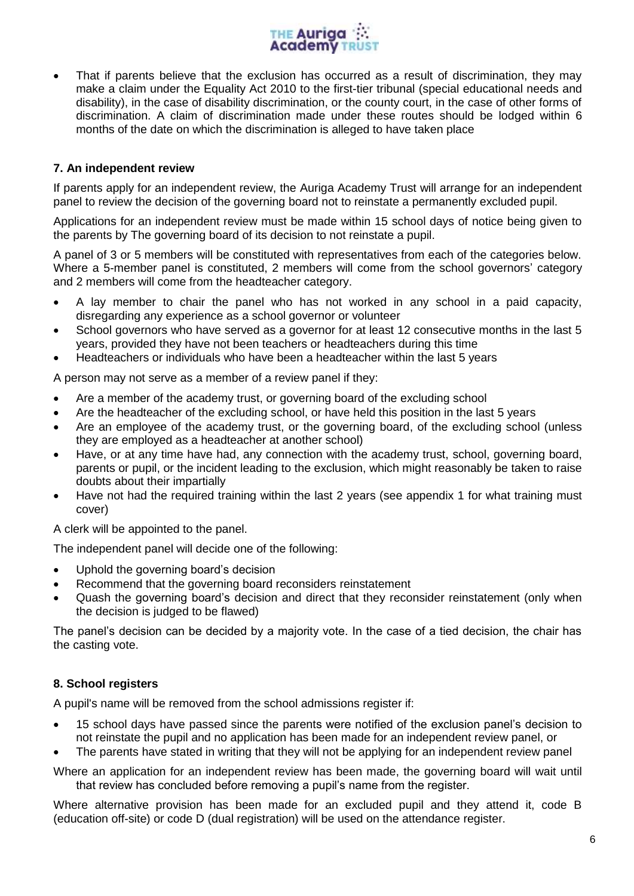

 That if parents believe that the exclusion has occurred as a result of discrimination, they may make a claim under the Equality Act 2010 to the first-tier tribunal (special educational needs and disability), in the case of disability discrimination, or the county court, in the case of other forms of discrimination. A claim of discrimination made under these routes should be lodged within 6 months of the date on which the discrimination is alleged to have taken place

# **7. An independent review**

If parents apply for an independent review, the Auriga Academy Trust will arrange for an independent panel to review the decision of the governing board not to reinstate a permanently excluded pupil.

Applications for an independent review must be made within 15 school days of notice being given to the parents by The governing board of its decision to not reinstate a pupil.

A panel of 3 or 5 members will be constituted with representatives from each of the categories below. Where a 5-member panel is constituted, 2 members will come from the school governors' category and 2 members will come from the headteacher category.

- A lay member to chair the panel who has not worked in any school in a paid capacity, disregarding any experience as a school governor or volunteer
- School governors who have served as a governor for at least 12 consecutive months in the last 5 years, provided they have not been teachers or headteachers during this time
- Headteachers or individuals who have been a headteacher within the last 5 years

A person may not serve as a member of a review panel if they:

- Are a member of the academy trust, or governing board of the excluding school
- Are the headteacher of the excluding school, or have held this position in the last 5 years
- Are an employee of the academy trust, or the governing board, of the excluding school (unless they are employed as a headteacher at another school)
- Have, or at any time have had, any connection with the academy trust, school, governing board, parents or pupil, or the incident leading to the exclusion, which might reasonably be taken to raise doubts about their impartially
- Have not had the required training within the last 2 years (see appendix 1 for what training must cover)

A clerk will be appointed to the panel.

The independent panel will decide one of the following:

- Uphold the governing board's decision
- Recommend that the governing board reconsiders reinstatement
- Quash the governing board's decision and direct that they reconsider reinstatement (only when the decision is judged to be flawed)

The panel's decision can be decided by a majority vote. In the case of a tied decision, the chair has the casting vote.

#### **8. School registers**

A pupil's name will be removed from the school admissions register if:

- 15 school days have passed since the parents were notified of the exclusion panel's decision to not reinstate the pupil and no application has been made for an independent review panel, or
- The parents have stated in writing that they will not be applying for an independent review panel

Where an application for an independent review has been made, the governing board will wait until that review has concluded before removing a pupil's name from the register.

Where alternative provision has been made for an excluded pupil and they attend it, code B (education off-site) or code D (dual registration) will be used on the attendance register.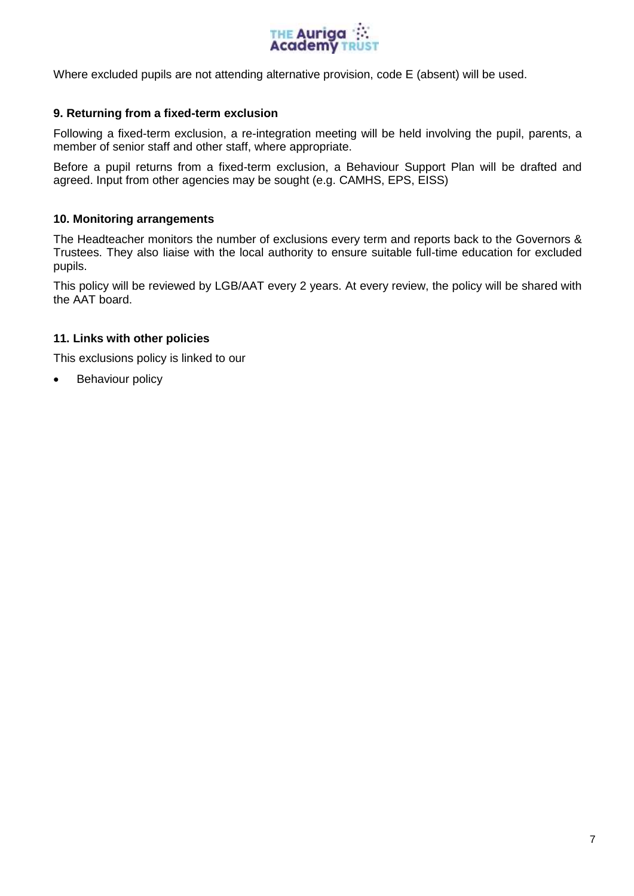

Where excluded pupils are not attending alternative provision, code E (absent) will be used.

### **9. Returning from a fixed-term exclusion**

Following a fixed-term exclusion, a re-integration meeting will be held involving the pupil, parents, a member of senior staff and other staff, where appropriate.

Before a pupil returns from a fixed-term exclusion, a Behaviour Support Plan will be drafted and agreed. Input from other agencies may be sought (e.g. CAMHS, EPS, EISS)

#### **10. Monitoring arrangements**

The Headteacher monitors the number of exclusions every term and reports back to the Governors & Trustees. They also liaise with the local authority to ensure suitable full-time education for excluded pupils.

This policy will be reviewed by LGB/AAT every 2 years. At every review, the policy will be shared with the AAT board.

#### **11. Links with other policies**

This exclusions policy is linked to our

• Behaviour policy